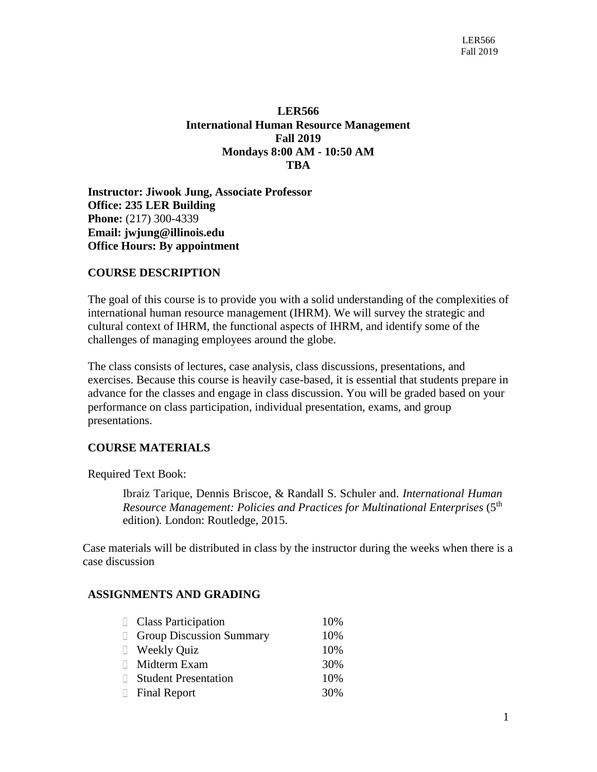# **LER566 International Human Resource Management Fall 2019 Mondays 8:00 AM - 10:50 AM TBA**

**Instructor: Jiwook Jung, Associate Professor Office: 235 LER Building Phone:** (217) 300-4339 **Email: [jwjung@illinois.edu](mailto:ychen01@illinois.edu) Office Hours: By appointment**

# **COURSE DESCRIPTION**

The goal of this course is to provide you with a solid understanding of the complexities of international human resource management (IHRM). We will survey the strategic and cultural context of IHRM, the functional aspects of IHRM, and identify some of the challenges of managing employees around the globe.

The class consists of lectures, case analysis, class discussions, presentations, and exercises. Because this course is heavily case-based, it is essential that students prepare in advance for the classes and engage in class discussion. You will be graded based on your performance on class participation, individual presentation, exams, and group presentations.

# **COURSE MATERIALS**

Required Text Book:

[Ibraiz Tarique,](http://www.routledge.com/books/search/author/ibraiz_tarique/) Dennis Briscoe, & Randall S. Schuler and. *International Human Resource Management: Policies and Practices for Multinational Enterprises* (5<sup>th</sup> edition)*.* London: Routledge, 2015.

Case materials will be distributed in class by the instructor during the weeks when there is a case discussion

#### **ASSIGNMENTS AND GRADING**

| <b>Class Participation</b>      | 10% |
|---------------------------------|-----|
| <b>Group Discussion Summary</b> | 10% |
| □ Weekly Quiz                   | 10% |
| □ Midterm Exam                  | 30% |
| Student Presentation            | 10% |
| Final Report                    | 30% |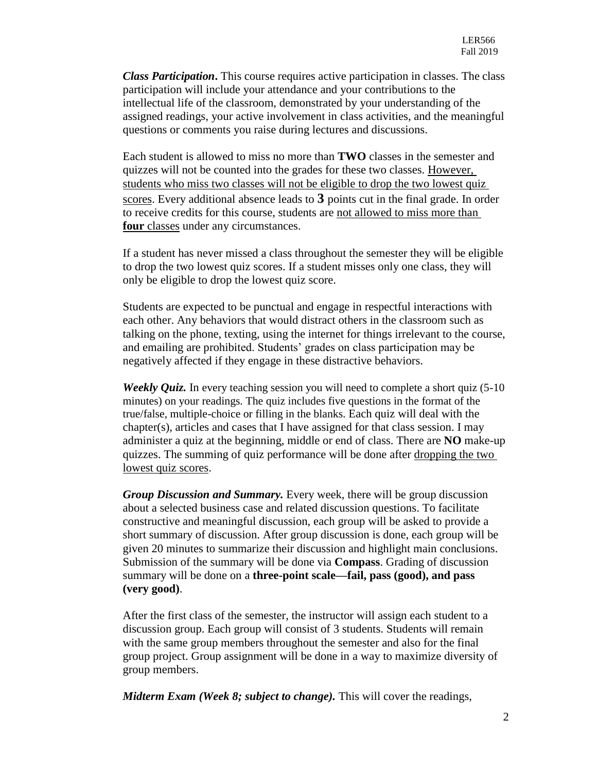*Class Participation***.** This course requires active participation in classes. The class participation will include your attendance and your contributions to the intellectual life of the classroom, demonstrated by your understanding of the assigned readings, your active involvement in class activities, and the meaningful questions or comments you raise during lectures and discussions.

Each student is allowed to miss no more than **TWO** classes in the semester and quizzes will not be counted into the grades for these two classes. However, students who miss two classes will not be eligible to drop the two lowest quiz scores. Every additional absence leads to **3** points cut in the final grade. In order to receive credits for this course, students are not allowed to miss more than **four** classes under any circumstances.

If a student has never missed a class throughout the semester they will be eligible to drop the two lowest quiz scores. If a student misses only one class, they will only be eligible to drop the lowest quiz score.

Students are expected to be punctual and engage in respectful interactions with each other. Any behaviors that would distract others in the classroom such as talking on the phone, texting, using the internet for things irrelevant to the course, and emailing are prohibited. Students' grades on class participation may be negatively affected if they engage in these distractive behaviors.

*Weekly Quiz.* In every teaching session you will need to complete a short quiz (5-10) minutes) on your readings. The quiz includes five questions in the format of the true/false, multiple-choice or filling in the blanks. Each quiz will deal with the chapter(s), articles and cases that I have assigned for that class session. I may administer a quiz at the beginning, middle or end of class. There are **NO** make-up quizzes. The summing of quiz performance will be done after dropping the two lowest quiz scores.

*Group Discussion and Summary.* Every week, there will be group discussion about a selected business case and related discussion questions. To facilitate constructive and meaningful discussion, each group will be asked to provide a short summary of discussion. After group discussion is done, each group will be given 20 minutes to summarize their discussion and highlight main conclusions. Submission of the summary will be done via **Compass**. Grading of discussion summary will be done on a **three-point scale—fail, pass (good), and pass (very good)**.

After the first class of the semester, the instructor will assign each student to a discussion group. Each group will consist of 3 students. Students will remain with the same group members throughout the semester and also for the final group project. Group assignment will be done in a way to maximize diversity of group members.

*Midterm Exam (Week 8; subject to change).* This will cover the readings,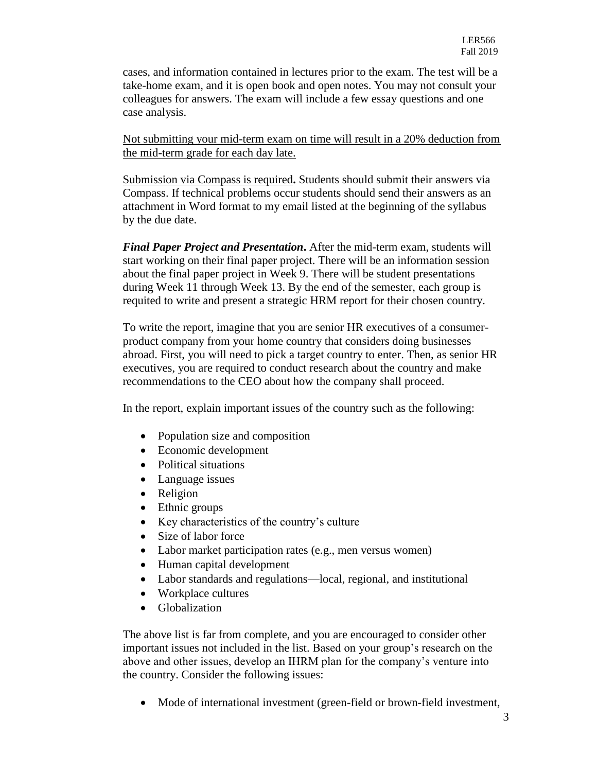cases, and information contained in lectures prior to the exam. The test will be a take-home exam, and it is open book and open notes. You may not consult your colleagues for answers. The exam will include a few essay questions and one case analysis.

Not submitting your mid-term exam on time will result in a 20% deduction from the mid-term grade for each day late.

Submission via Compass is required**.** Students should submit their answers via Compass. If technical problems occur students should send their answers as an attachment in Word format to my email listed at the beginning of the syllabus by the due date.

*Final Paper Project and Presentation***.** After the mid-term exam, students will start working on their final paper project. There will be an information session about the final paper project in Week 9. There will be student presentations during Week 11 through Week 13. By the end of the semester, each group is requited to write and present a strategic HRM report for their chosen country.

To write the report, imagine that you are senior HR executives of a consumerproduct company from your home country that considers doing businesses abroad. First, you will need to pick a target country to enter. Then, as senior HR executives, you are required to conduct research about the country and make recommendations to the CEO about how the company shall proceed.

In the report, explain important issues of the country such as the following:

- Population size and composition
- Economic development
- Political situations
- Language issues
- Religion
- Ethnic groups
- Key characteristics of the country's culture
- Size of labor force
- Labor market participation rates (e.g., men versus women)
- Human capital development
- Labor standards and regulations—local, regional, and institutional
- Workplace cultures
- Globalization

The above list is far from complete, and you are encouraged to consider other important issues not included in the list. Based on your group's research on the above and other issues, develop an IHRM plan for the company's venture into the country. Consider the following issues:

• Mode of international investment (green-field or brown-field investment,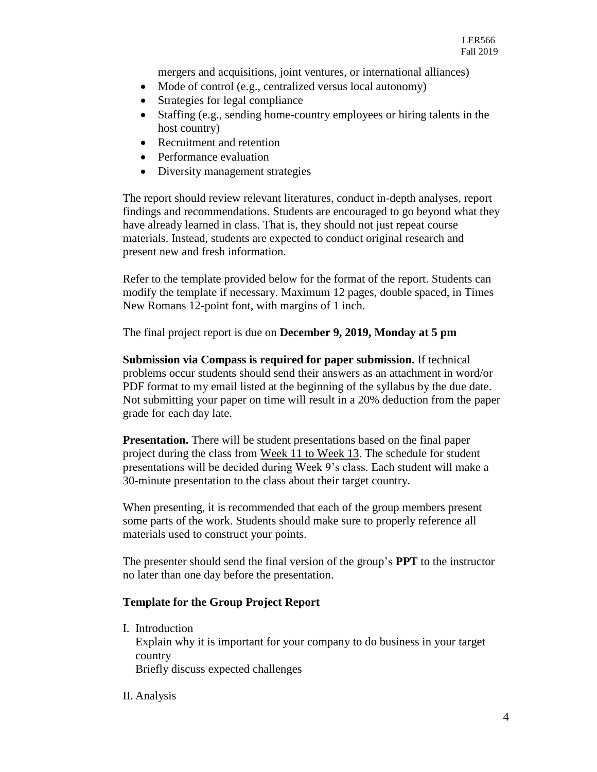mergers and acquisitions, joint ventures, or international alliances)

- Mode of control (e.g., centralized versus local autonomy)
- Strategies for legal compliance
- Staffing (e.g., sending home-country employees or hiring talents in the host country)
- Recruitment and retention
- Performance evaluation
- Diversity management strategies

The report should review relevant literatures, conduct in-depth analyses, report findings and recommendations. Students are encouraged to go beyond what they have already learned in class. That is, they should not just repeat course materials. Instead, students are expected to conduct original research and present new and fresh information.

Refer to the template provided below for the format of the report. Students can modify the template if necessary. Maximum 12 pages, double spaced, in Times New Romans 12-point font, with margins of 1 inch.

The final project report is due on **December 9, 2019, Monday at 5 pm**

**Submission via Compass is required for paper submission.** If technical problems occur students should send their answers as an attachment in word/or PDF format to my email listed at the beginning of the syllabus by the due date. Not submitting your paper on time will result in a 20% deduction from the paper grade for each day late.

**Presentation.** There will be student presentations based on the final paper project during the class from Week 11 to Week 13. The schedule for student presentations will be decided during Week 9's class. Each student will make a 30-minute presentation to the class about their target country.

When presenting, it is recommended that each of the group members present some parts of the work. Students should make sure to properly reference all materials used to construct your points.

The presenter should send the final version of the group's **PPT** to the instructor no later than one day before the presentation.

# **Template for the Group Project Report**

I. Introduction

Explain why it is important for your company to do business in your target country Briefly discuss expected challenges

II. Analysis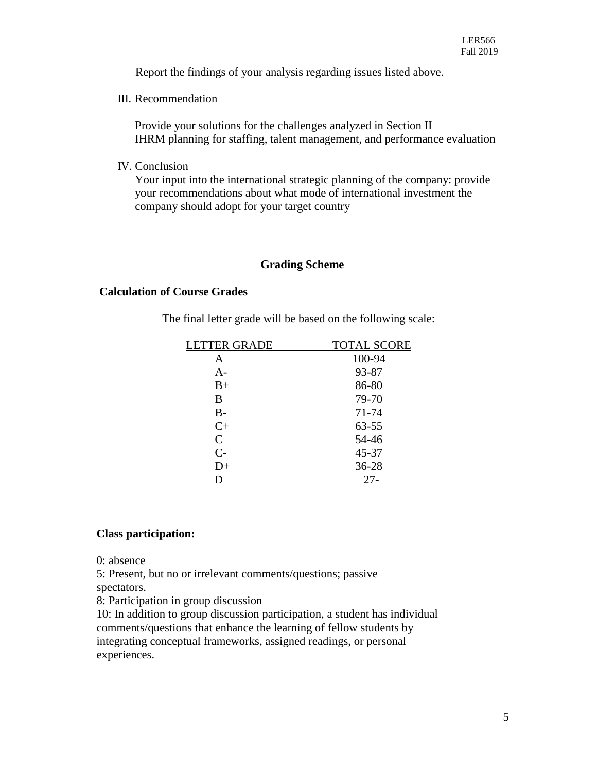Report the findings of your analysis regarding issues listed above.

III. Recommendation

Provide your solutions for the challenges analyzed in Section II IHRM planning for staffing, talent management, and performance evaluation

IV. Conclusion

Your input into the international strategic planning of the company: provide your recommendations about what mode of international investment the company should adopt for your target country

# **Grading Scheme**

# **Calculation of Course Grades**

The final letter grade will be based on the following scale:

| <b>TOTAL SCORE</b> |
|--------------------|
| 100-94             |
| 93-87              |
| 86-80              |
| 79-70              |
| 71-74              |
| 63-55              |
| 54-46              |
| 45-37              |
| 36-28              |
| $27 -$             |
|                    |

# **Class participation:**

0: absence

5: Present, but no or irrelevant comments/questions; passive

spectators.

8: Participation in group discussion

10: In addition to group discussion participation, a student has individual comments/questions that enhance the learning of fellow students by integrating conceptual frameworks, assigned readings, or personal experiences.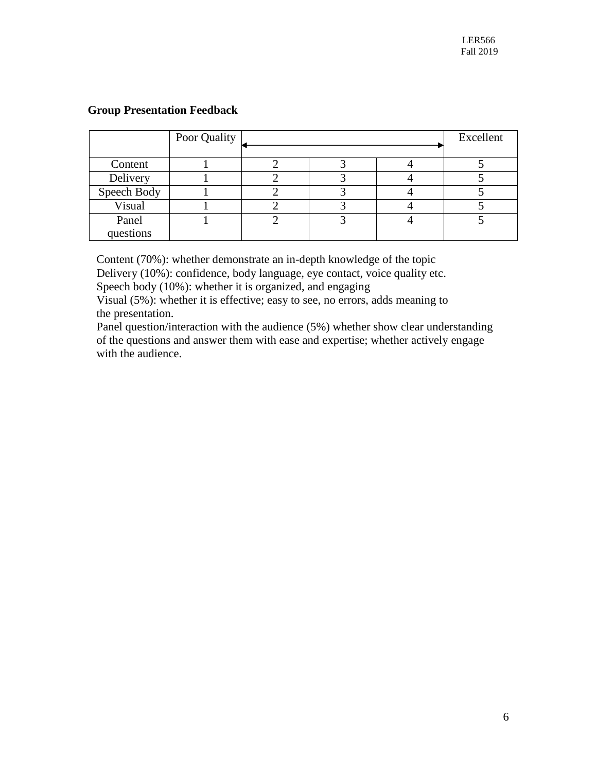# **Group Presentation Feedback**

|                    | Poor Quality |  | Excellent |
|--------------------|--------------|--|-----------|
| Content            |              |  |           |
| Delivery           |              |  |           |
| Speech Body        |              |  |           |
| Visual             |              |  |           |
| Panel<br>questions |              |  |           |

Content (70%): whether demonstrate an in-depth knowledge of the topic Delivery (10%): confidence, body language, eye contact, voice quality etc. Speech body (10%): whether it is organized, and engaging

Visual (5%): whether it is effective; easy to see, no errors, adds meaning to the presentation.

Panel question/interaction with the audience (5%) whether show clear understanding of the questions and answer them with ease and expertise; whether actively engage with the audience.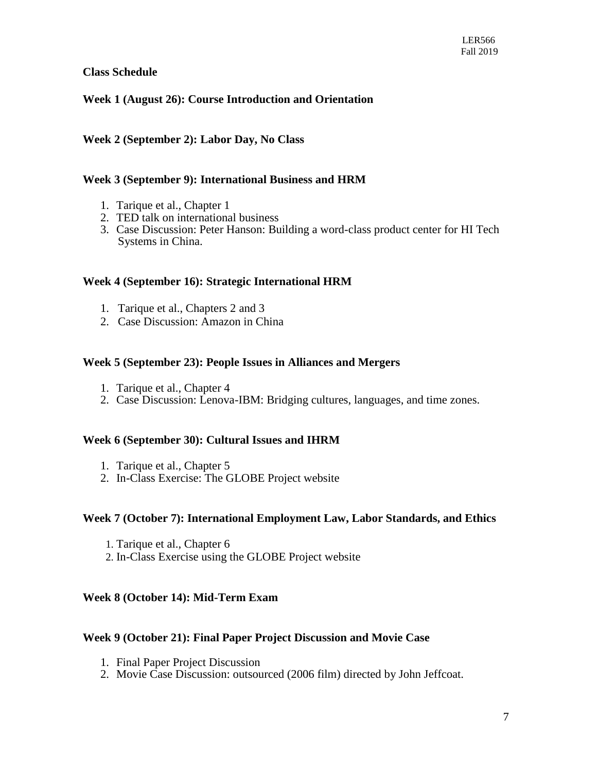# **Class Schedule**

# **Week 1 (August 26): Course Introduction and Orientation**

# **Week 2 (September 2): Labor Day, No Class**

# **Week 3 (September 9): International Business and HRM**

- 1. Tarique et al., Chapter 1
- 2. TED talk on international business
- 3. Case Discussion: Peter Hanson: Building a word-class product center for HI Tech Systems in China.

#### **Week 4 (September 16): Strategic International HRM**

- 1. Tarique et al., Chapters 2 and 3
- 2. Case Discussion: Amazon in China

#### **Week 5 (September 23): People Issues in Alliances and Mergers**

- 1. Tarique et al., Chapter 4
- 2. Case Discussion: Lenova-IBM: Bridging cultures, languages, and time zones.

# **Week 6 (September 30): Cultural Issues and IHRM**

- 1. Tarique et al., Chapter 5
- 2. In-Class Exercise: The GLOBE Project website

#### **Week 7 (October 7): International Employment Law, Labor Standards, and Ethics**

- 1. Tarique et al., Chapter 6
- 2. In-Class Exercise using the GLOBE Project website

# **Week 8 (October 14): Mid-Term Exam**

# **Week 9 (October 21): Final Paper Project Discussion and Movie Case**

- 1. Final Paper Project Discussion
- 2. Movie Case Discussion: outsourced (2006 film) directed by John Jeffcoat.